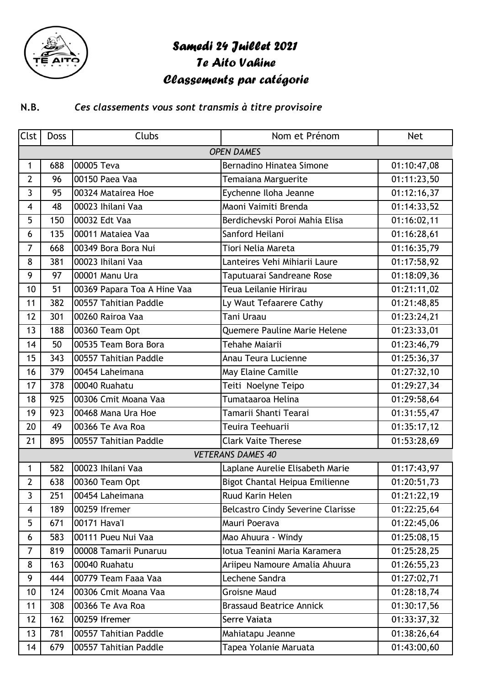

## Samedi 24 Juillet 2021

Te Aito Vahine

## Classements par catégorie

## *Ces classements vous sont transmis à titre provisoire* **N.B.**

| <b>Clst</b>              | <b>Doss</b> | Clubs                       | Nom et Prénom                            | <b>Net</b>  |  |  |
|--------------------------|-------------|-----------------------------|------------------------------------------|-------------|--|--|
| <b>OPEN DAMES</b>        |             |                             |                                          |             |  |  |
| $\mathbf{1}$             | 688         | 00005 Teva                  | Bernadino Hinatea Simone                 | 01:10:47,08 |  |  |
| $\overline{2}$           | 96          | 00150 Paea Vaa              | Temaiana Marguerite                      | 01:11:23,50 |  |  |
| 3                        | 95          | 00324 Matairea Hoe          | Eychenne Iloha Jeanne                    | 01:12:16,37 |  |  |
| 4                        | 48          | 00023 Ihilani Vaa           | Maoni Vaimiti Brenda                     | 01:14:33,52 |  |  |
| 5                        | 150         | 00032 Edt Vaa               | Berdichevski Poroi Mahia Elisa           | 01:16:02,11 |  |  |
| 6                        | 135         | 00011 Mataiea Vaa           | Sanford Heilani                          | 01:16:28,61 |  |  |
| $\overline{7}$           | 668         | 00349 Bora Bora Nui         | Tiori Nelia Mareta                       | 01:16:35,79 |  |  |
| 8                        | 381         | 00023 Ihilani Vaa           | Lanteires Vehi Mihiarii Laure            | 01:17:58,92 |  |  |
| 9                        | 97          | 00001 Manu Ura              | Taputuarai Sandreane Rose                | 01:18:09,36 |  |  |
| 10                       | 51          | 00369 Papara Toa A Hine Vaa | Teua Leilanie Hirirau                    | 01:21:11,02 |  |  |
| 11                       | 382         | 00557 Tahitian Paddle       | Ly Waut Tefaarere Cathy                  | 01:21:48,85 |  |  |
| 12                       | 301         | 00260 Rairoa Vaa            | <b>Tani Uraau</b>                        | 01:23:24,21 |  |  |
| 13                       | 188         | 00360 Team Opt              | Quemere Pauline Marie Helene             | 01:23:33,01 |  |  |
| 14                       | 50          | 00535 Team Bora Bora        | <b>Tehahe Maiarii</b>                    | 01:23:46,79 |  |  |
| 15                       | 343         | 00557 Tahitian Paddle       | Anau Teura Lucienne                      | 01:25:36,37 |  |  |
| 16                       | 379         | 00454 Laheimana             | May Elaine Camille                       | 01:27:32,10 |  |  |
| 17                       | 378         | 00040 Ruahatu               | Teiti Noelyne Teipo                      | 01:29:27,34 |  |  |
| 18                       | 925         | 00306 Cmit Moana Vaa        | Tumataaroa Helina                        | 01:29:58,64 |  |  |
| 19                       | 923         | 00468 Mana Ura Hoe          | Tamarii Shanti Tearai                    | 01:31:55,47 |  |  |
| 20                       | 49          | 00366 Te Ava Roa            | Teuira Teehuarii                         | 01:35:17,12 |  |  |
| 21                       | 895         | 00557 Tahitian Paddle       | <b>Clark Vaite Therese</b>               | 01:53:28,69 |  |  |
| <b>VETERANS DAMES 40</b> |             |                             |                                          |             |  |  |
| 1                        | 582         | 00023 Ihilani Vaa           | Laplane Aurelie Elisabeth Marie          | 01:17:43,97 |  |  |
| $\overline{2}$           | 638         | 00360 Team Opt              | Bigot Chantal Heipua Emilienne           | 01:20:51,73 |  |  |
| 3                        | 251         | 00454 Laheimana             | <b>Ruud Karin Helen</b>                  | 01:21:22,19 |  |  |
| 4                        | 189         | 00259 Ifremer               | <b>Belcastro Cindy Severine Clarisse</b> | 01:22:25,64 |  |  |
| 5                        | 671         | 00171 Hava'l                | Mauri Poerava                            | 01:22:45,06 |  |  |
| 6                        | 583         | 00111 Pueu Nui Vaa          | Mao Ahuura - Windy                       | 01:25:08,15 |  |  |
| $\overline{7}$           | 819         | 00008 Tamarii Punaruu       | lotua Teanini Maria Karamera             | 01:25:28,25 |  |  |
| 8                        | 163         | 00040 Ruahatu               | Ariipeu Namoure Amalia Ahuura            | 01:26:55,23 |  |  |
| 9                        | 444         | 00779 Team Faaa Vaa         | Lechene Sandra                           | 01:27:02,71 |  |  |
| 10                       | 124         | 00306 Cmit Moana Vaa        | <b>Groisne Maud</b>                      | 01:28:18,74 |  |  |
| 11                       | 308         | 00366 Te Ava Roa            | <b>Brassaud Beatrice Annick</b>          | 01:30:17,56 |  |  |
| 12                       | 162         | 00259 Ifremer               | Serre Vaiata                             | 01:33:37,32 |  |  |
| 13                       | 781         | 00557 Tahitian Paddle       | Mahiatapu Jeanne                         | 01:38:26,64 |  |  |
| 14                       | 679         | 00557 Tahitian Paddle       | Tapea Yolanie Maruata                    | 01:43:00,60 |  |  |